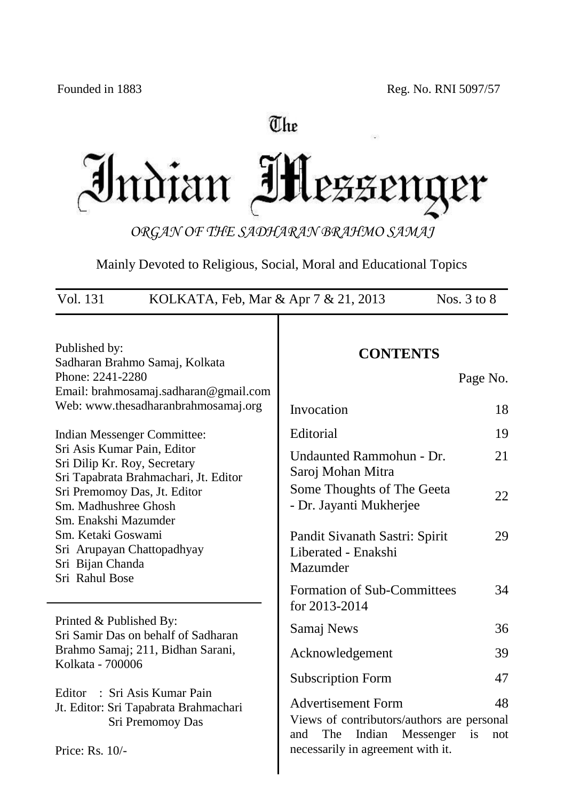# The Indian IH LEZENQ ter

*ORGAN OF THE SADHARAN BRAHMO SAMAJ*

Mainly Devoted to Religious, Social, Moral and Educational Topics

| Vol. 131<br>KOLKATA, Feb, Mar & Apr 7 & 21, 2013                                                                                                    |                                                                                                              | Nos. $3$ to $8$ |
|-----------------------------------------------------------------------------------------------------------------------------------------------------|--------------------------------------------------------------------------------------------------------------|-----------------|
| Published by:<br>Sadharan Brahmo Samaj, Kolkata<br>Phone: 2241-2280<br>Email: brahmosamaj.sadharan@gmail.com<br>Web: www.thesadharanbrahmosamaj.org | <b>CONTENTS</b>                                                                                              | Page No.        |
|                                                                                                                                                     | Invocation                                                                                                   | 18              |
| Indian Messenger Committee:                                                                                                                         | Editorial                                                                                                    | 19              |
| Sri Asis Kumar Pain, Editor<br>Sri Dilip Kr. Roy, Secretary<br>Sri Tapabrata Brahmachari, Jt. Editor                                                | Undaunted Rammohun - Dr.<br>Saroj Mohan Mitra                                                                | 21              |
| Sri Premomoy Das, Jt. Editor<br>Sm. Madhushree Ghosh<br>Sm. Enakshi Mazumder                                                                        | Some Thoughts of The Geeta<br>- Dr. Jayanti Mukherjee                                                        | 22              |
| Sm. Ketaki Goswami<br>Sri Arupayan Chattopadhyay<br>Sri Bijan Chanda<br>Sri Rahul Bose                                                              | Pandit Sivanath Sastri: Spirit<br>Liberated - Enakshi<br>Mazumder                                            | 29              |
|                                                                                                                                                     | <b>Formation of Sub-Committees</b><br>for 2013-2014                                                          | 34              |
| Printed & Published By:<br>Sri Samir Das on behalf of Sadharan                                                                                      | Samaj News                                                                                                   | 36              |
| Brahmo Samaj; 211, Bidhan Sarani,<br>Kolkata - 700006                                                                                               | Acknowledgement                                                                                              | 39              |
|                                                                                                                                                     | <b>Subscription Form</b>                                                                                     | 47              |
| : Sri Asis Kumar Pain<br>Editor<br>Jt. Editor: Sri Tapabrata Brahmachari<br>Sri Premomoy Das                                                        | <b>Advertisement Form</b><br>Views of contributors/authors are personal<br>The<br>Indian<br>Messenger<br>and | 48<br>is<br>not |
| Price: Rs. 10/-                                                                                                                                     | necessarily in agreement with it.                                                                            |                 |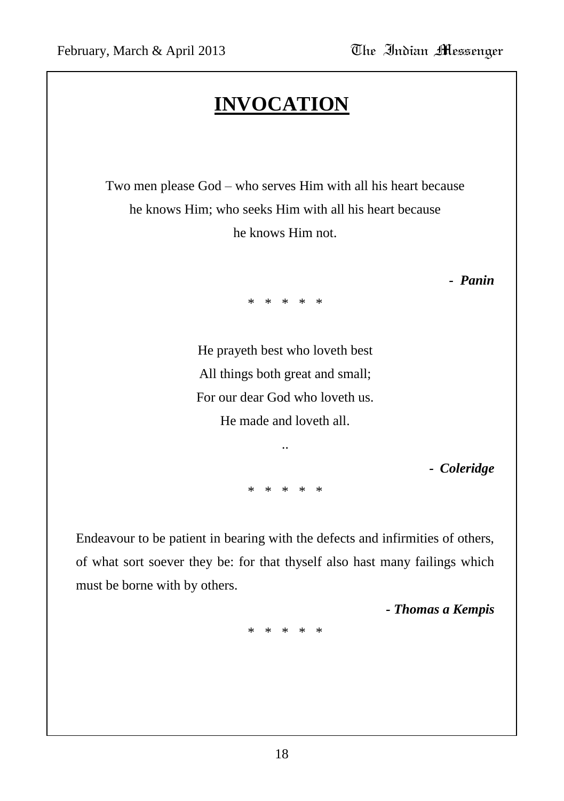# **INVOCATION**

Two men please God – who serves Him with all his heart because he knows Him; who seeks Him with all his heart because he knows Him not.

*- Panin*

\* \* \* \* \*

He prayeth best who loveth best All things both great and small; For our dear God who loveth us. He made and loveth all.

..

\* \* \* \* \*

*- Coleridge*

Endeavour to be patient in bearing with the defects and infirmities of others, of what sort soever they be: for that thyself also hast many failings which must be borne with by others.

*- Thomas a Kempis*

\* \* \* \* \*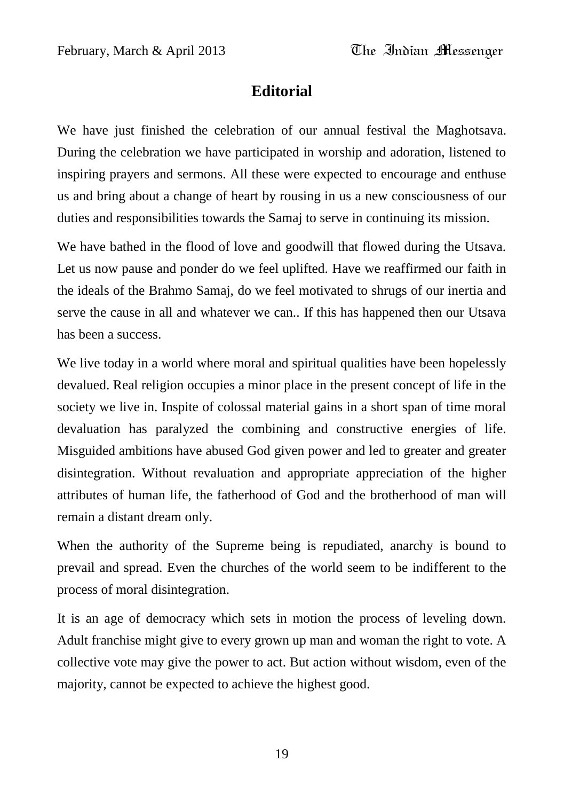# **Editorial**

We have just finished the celebration of our annual festival the Maghotsava. During the celebration we have participated in worship and adoration, listened to inspiring prayers and sermons. All these were expected to encourage and enthuse us and bring about a change of heart by rousing in us a new consciousness of our duties and responsibilities towards the Samaj to serve in continuing its mission.

We have bathed in the flood of love and goodwill that flowed during the Utsava. Let us now pause and ponder do we feel uplifted. Have we reaffirmed our faith in the ideals of the Brahmo Samaj, do we feel motivated to shrugs of our inertia and serve the cause in all and whatever we can.. If this has happened then our Utsava has been a success.

We live today in a world where moral and spiritual qualities have been hopelessly devalued. Real religion occupies a minor place in the present concept of life in the society we live in. Inspite of colossal material gains in a short span of time moral devaluation has paralyzed the combining and constructive energies of life. Misguided ambitions have abused God given power and led to greater and greater disintegration. Without revaluation and appropriate appreciation of the higher attributes of human life, the fatherhood of God and the brotherhood of man will remain a distant dream only.

When the authority of the Supreme being is repudiated, anarchy is bound to prevail and spread. Even the churches of the world seem to be indifferent to the process of moral disintegration.

It is an age of democracy which sets in motion the process of leveling down. Adult franchise might give to every grown up man and woman the right to vote. A collective vote may give the power to act. But action without wisdom, even of the majority, cannot be expected to achieve the highest good.

19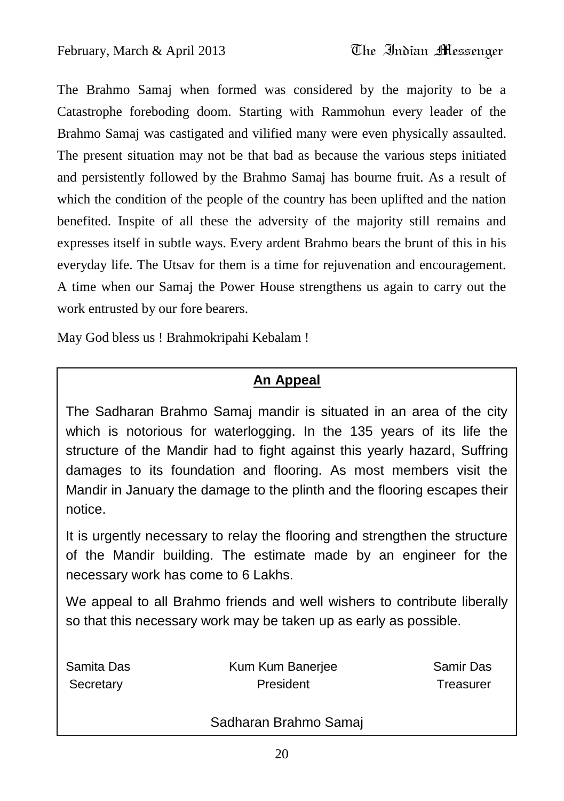The Brahmo Samaj when formed was considered by the majority to be a Catastrophe foreboding doom. Starting with Rammohun every leader of the Brahmo Samaj was castigated and vilified many were even physically assaulted. The present situation may not be that bad as because the various steps initiated and persistently followed by the Brahmo Samaj has bourne fruit. As a result of which the condition of the people of the country has been uplifted and the nation benefited. Inspite of all these the adversity of the majority still remains and expresses itself in subtle ways. Every ardent Brahmo bears the brunt of this in his everyday life. The Utsav for them is a time for rejuvenation and encouragement. A time when our Samaj the Power House strengthens us again to carry out the work entrusted by our fore bearers.

May God bless us ! Brahmokripahi Kebalam !

# **An Appeal**

The Sadharan Brahmo Samaj mandir is situated in an area of the city which is notorious for waterlogging. In the 135 years of its life the structure of the Mandir had to fight against this yearly hazard, Suffring damages to its foundation and flooring. As most members visit the Mandir in January the damage to the plinth and the flooring escapes their notice.

It is urgently necessary to relay the flooring and strengthen the structure of the Mandir building. The estimate made by an engineer for the necessary work has come to 6 Lakhs.

We appeal to all Brahmo friends and well wishers to contribute liberally so that this necessary work may be taken up as early as possible.

| Samita Das | Kum Kum Banerjee | Samir Das |
|------------|------------------|-----------|
| Secretary  | President        | Treasurer |
|            |                  |           |

#### Sadharan Brahmo Samaj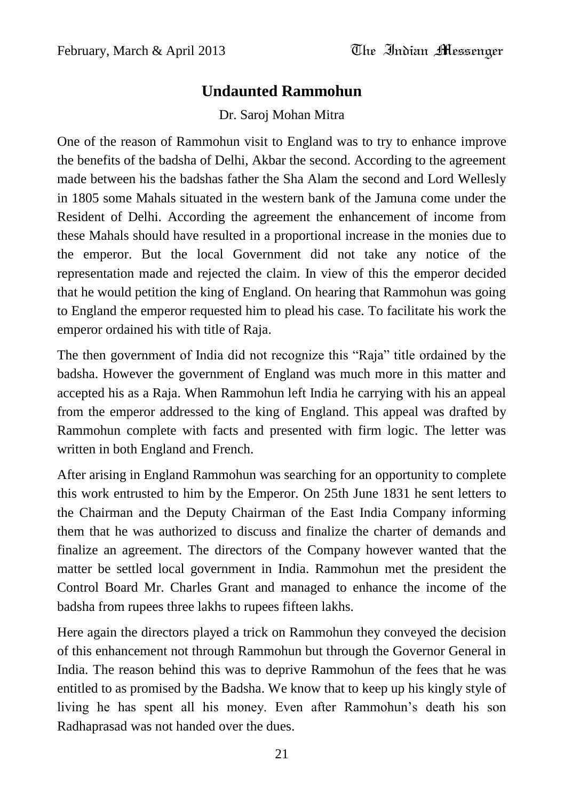# **Undaunted Rammohun**

Dr. Saroj Mohan Mitra

One of the reason of Rammohun visit to England was to try to enhance improve the benefits of the badsha of Delhi, Akbar the second. According to the agreement made between his the badshas father the Sha Alam the second and Lord Wellesly in 1805 some Mahals situated in the western bank of the Jamuna come under the Resident of Delhi. According the agreement the enhancement of income from these Mahals should have resulted in a proportional increase in the monies due to the emperor. But the local Government did not take any notice of the representation made and rejected the claim. In view of this the emperor decided that he would petition the king of England. On hearing that Rammohun was going to England the emperor requested him to plead his case. To facilitate his work the emperor ordained his with title of Raja.

The then government of India did not recognize this "Raja" title ordained by the badsha. However the government of England was much more in this matter and accepted his as a Raja. When Rammohun left India he carrying with his an appeal from the emperor addressed to the king of England. This appeal was drafted by Rammohun complete with facts and presented with firm logic. The letter was written in both England and French.

After arising in England Rammohun was searching for an opportunity to complete this work entrusted to him by the Emperor. On 25th June 1831 he sent letters to the Chairman and the Deputy Chairman of the East India Company informing them that he was authorized to discuss and finalize the charter of demands and finalize an agreement. The directors of the Company however wanted that the matter be settled local government in India. Rammohun met the president the Control Board Mr. Charles Grant and managed to enhance the income of the badsha from rupees three lakhs to rupees fifteen lakhs.

Here again the directors played a trick on Rammohun they conveyed the decision of this enhancement not through Rammohun but through the Governor General in India. The reason behind this was to deprive Rammohun of the fees that he was entitled to as promised by the Badsha. We know that to keep up his kingly style of living he has spent all his money. Even after Rammohun's death his son Radhaprasad was not handed over the dues.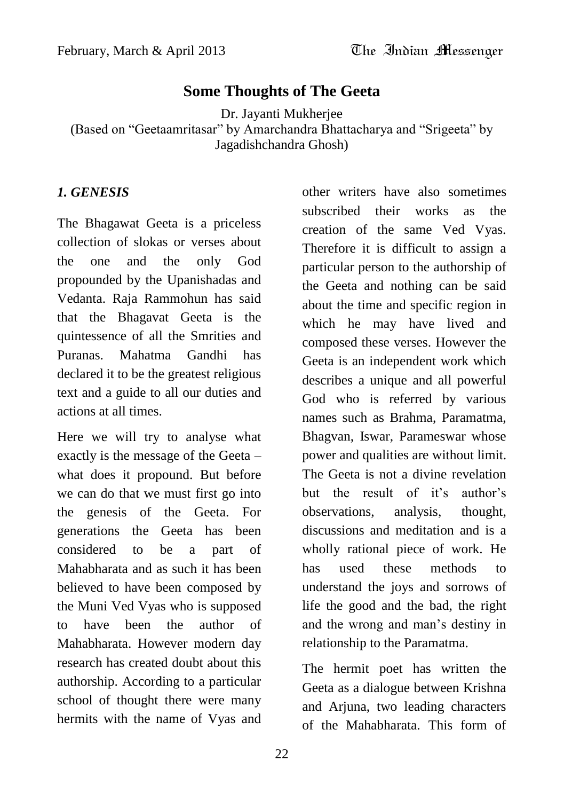# **Some Thoughts of The Geeta**

Dr. Jayanti Mukherjee

(Based on "Geetaamritasar" by Amarchandra Bhattacharya and "Srigeeta" by Jagadishchandra Ghosh)

#### *1. GENESIS*

The Bhagawat Geeta is a priceless collection of slokas or verses about the one and the only God propounded by the Upanishadas and Vedanta. Raja Rammohun has said that the Bhagavat Geeta is the quintessence of all the Smrities and Puranas. Mahatma Gandhi has declared it to be the greatest religious text and a guide to all our duties and actions at all times.

Here we will try to analyse what exactly is the message of the Geeta – what does it propound. But before we can do that we must first go into the genesis of the Geeta. For generations the Geeta has been considered to be a part of Mahabharata and as such it has been believed to have been composed by the Muni Ved Vyas who is supposed to have been the author of Mahabharata. However modern day research has created doubt about this authorship. According to a particular school of thought there were many hermits with the name of Vyas and

other writers have also sometimes subscribed their works as the creation of the same Ved Vyas. Therefore it is difficult to assign a particular person to the authorship of the Geeta and nothing can be said about the time and specific region in which he may have lived and composed these verses. However the Geeta is an independent work which describes a unique and all powerful God who is referred by various names such as Brahma, Paramatma, Bhagvan, Iswar, Parameswar whose power and qualities are without limit. The Geeta is not a divine revelation but the result of it's author's observations, analysis, thought, discussions and meditation and is a wholly rational piece of work. He has used these methods to understand the joys and sorrows of life the good and the bad, the right and the wrong and man"s destiny in relationship to the Paramatma.

The hermit poet has written the Geeta as a dialogue between Krishna and Arjuna, two leading characters of the Mahabharata. This form of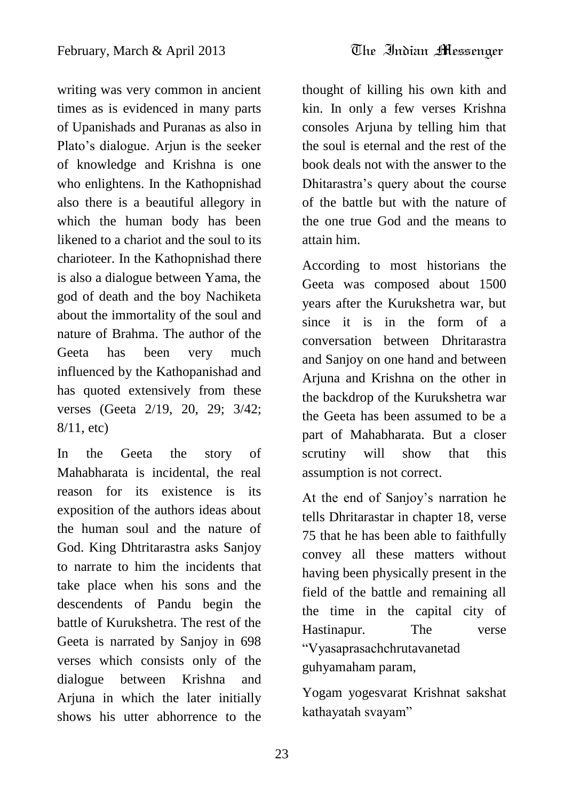writing was very common in ancient times as is evidenced in many parts of Upanishads and Puranas as also in Plato"s dialogue. Arjun is the seeker of knowledge and Krishna is one who enlightens. In the Kathopnishad also there is a beautiful allegory in which the human body has been likened to a chariot and the soul to its charioteer. In the Kathopnishad there is also a dialogue between Yama, the god of death and the boy Nachiketa about the immortality of the soul and nature of Brahma. The author of the Geeta has been very much influenced by the Kathopanishad and has quoted extensively from these verses (Geeta 2/19, 20, 29; 3/42; 8/11, etc)

In the Geeta the story of Mahabharata is incidental, the real reason for its existence is its exposition of the authors ideas about the human soul and the nature of God. King Dhtritarastra asks Sanjoy to narrate to him the incidents that take place when his sons and the descendents of Pandu begin the battle of Kurukshetra. The rest of the Geeta is narrated by Sanjoy in 698 verses which consists only of the dialogue between Krishna and Arjuna in which the later initially shows his utter abhorrence to the

thought of killing his own kith and kin. In only a few verses Krishna consoles Arjuna by telling him that the soul is eternal and the rest of the book deals not with the answer to the Dhitarastra"s query about the course of the battle but with the nature of the one true God and the means to attain him.

According to most historians the Geeta was composed about 1500 years after the Kurukshetra war, but since it is in the form of a conversation between Dhritarastra and Sanjoy on one hand and between Arjuna and Krishna on the other in the backdrop of the Kurukshetra war the Geeta has been assumed to be a part of Mahabharata. But a closer scrutiny will show that this assumption is not correct.

At the end of Sanjoy"s narration he tells Dhritarastar in chapter 18, verse 75 that he has been able to faithfully convey all these matters without having been physically present in the field of the battle and remaining all the time in the capital city of Hastinapur. The verse "Vyasaprasachchrutavanetad guhyamaham param,

Yogam yogesvarat Krishnat sakshat kathayatah svayam"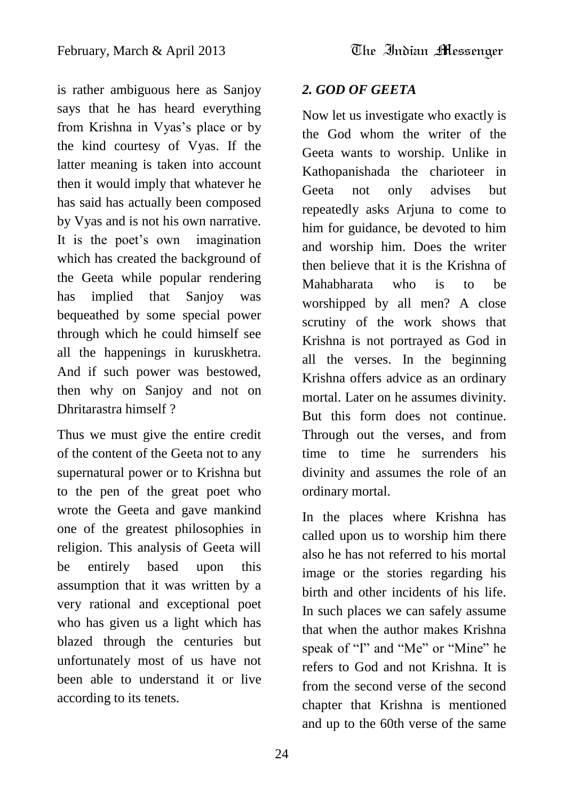is rather ambiguous here as Sanjoy says that he has heard everything from Krishna in Vyas"s place or by the kind courtesy of Vyas. If the latter meaning is taken into account then it would imply that whatever he has said has actually been composed by Vyas and is not his own narrative. It is the poet's own imagination which has created the background of the Geeta while popular rendering has implied that Sanjoy was bequeathed by some special power through which he could himself see all the happenings in kuruskhetra. And if such power was bestowed, then why on Sanjoy and not on Dhritarastra himself ?

Thus we must give the entire credit of the content of the Geeta not to any supernatural power or to Krishna but to the pen of the great poet who wrote the Geeta and gave mankind one of the greatest philosophies in religion. This analysis of Geeta will be entirely based upon this assumption that it was written by a very rational and exceptional poet who has given us a light which has blazed through the centuries but unfortunately most of us have not been able to understand it or live according to its tenets.

# *2. GOD OF GEETA*

Now let us investigate who exactly is the God whom the writer of the Geeta wants to worship. Unlike in Kathopanishada the charioteer in Geeta not only advises but repeatedly asks Arjuna to come to him for guidance, be devoted to him and worship him. Does the writer then believe that it is the Krishna of Mahabharata who is to be worshipped by all men? A close scrutiny of the work shows that Krishna is not portrayed as God in all the verses. In the beginning Krishna offers advice as an ordinary mortal. Later on he assumes divinity. But this form does not continue. Through out the verses, and from time to time he surrenders his divinity and assumes the role of an ordinary mortal.

In the places where Krishna has called upon us to worship him there also he has not referred to his mortal image or the stories regarding his birth and other incidents of his life. In such places we can safely assume that when the author makes Krishna speak of "I" and "Me" or "Mine" he refers to God and not Krishna. It is from the second verse of the second chapter that Krishna is mentioned and up to the 60th verse of the same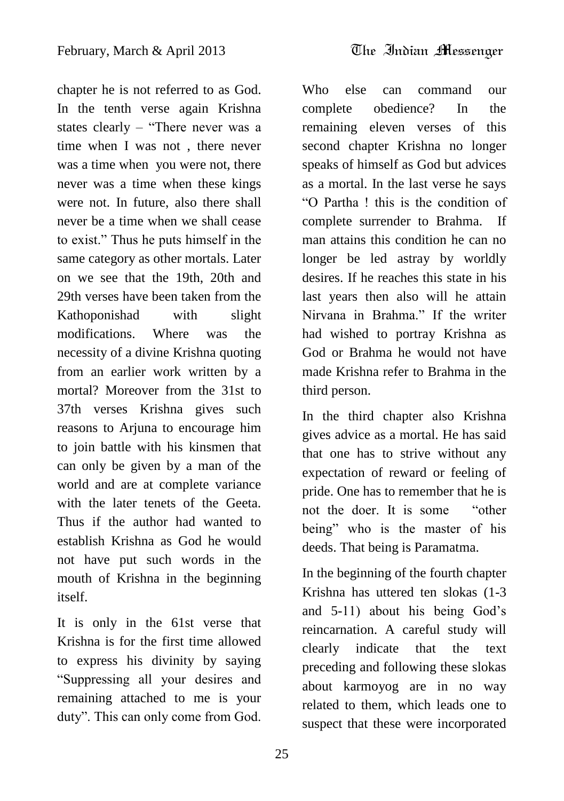chapter he is not referred to as God. In the tenth verse again Krishna states clearly – "There never was a time when I was not , there never was a time when you were not, there never was a time when these kings were not. In future, also there shall never be a time when we shall cease to exist." Thus he puts himself in the same category as other mortals. Later on we see that the 19th, 20th and 29th verses have been taken from the Kathoponishad with slight modifications. Where was the necessity of a divine Krishna quoting from an earlier work written by a mortal? Moreover from the 31st to 37th verses Krishna gives such reasons to Arjuna to encourage him to join battle with his kinsmen that can only be given by a man of the world and are at complete variance with the later tenets of the Geeta. Thus if the author had wanted to establish Krishna as God he would not have put such words in the mouth of Krishna in the beginning itself.

It is only in the 61st verse that Krishna is for the first time allowed to express his divinity by saying "Suppressing all your desires and remaining attached to me is your duty". This can only come from God.

Who else can command our complete obedience? In the remaining eleven verses of this second chapter Krishna no longer speaks of himself as God but advices as a mortal. In the last verse he says "O Partha ! this is the condition of complete surrender to Brahma. If man attains this condition he can no longer be led astray by worldly desires. If he reaches this state in his last years then also will he attain Nirvana in Brahma." If the writer had wished to portray Krishna as God or Brahma he would not have made Krishna refer to Brahma in the third person.

In the third chapter also Krishna gives advice as a mortal. He has said that one has to strive without any expectation of reward or feeling of pride. One has to remember that he is not the doer. It is some "other being" who is the master of his deeds. That being is Paramatma.

In the beginning of the fourth chapter Krishna has uttered ten slokas (1-3 and 5-11) about his being God"s reincarnation. A careful study will clearly indicate that the text preceding and following these slokas about karmoyog are in no way related to them, which leads one to suspect that these were incorporated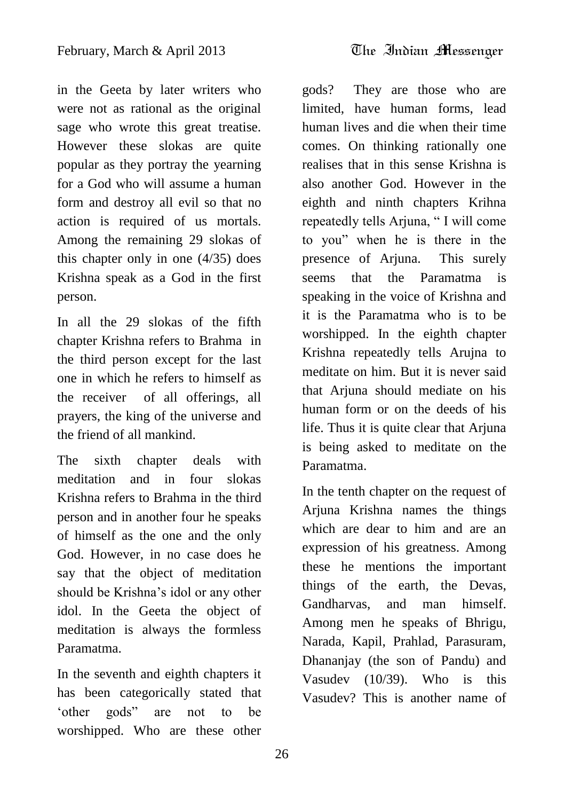in the Geeta by later writers who were not as rational as the original sage who wrote this great treatise. However these slokas are quite popular as they portray the yearning for a God who will assume a human form and destroy all evil so that no action is required of us mortals. Among the remaining 29 slokas of this chapter only in one (4/35) does Krishna speak as a God in the first person.

In all the 29 slokas of the fifth chapter Krishna refers to Brahma in the third person except for the last one in which he refers to himself as the receiver of all offerings, all prayers, the king of the universe and the friend of all mankind.

The sixth chapter deals with meditation and in four slokas Krishna refers to Brahma in the third person and in another four he speaks of himself as the one and the only God. However, in no case does he say that the object of meditation should be Krishna"s idol or any other idol. In the Geeta the object of meditation is always the formless Paramatma.

In the seventh and eighth chapters it has been categorically stated that "other gods" are not to be worshipped. Who are these other

gods? They are those who are limited, have human forms, lead human lives and die when their time comes. On thinking rationally one realises that in this sense Krishna is also another God. However in the eighth and ninth chapters Krihna repeatedly tells Arjuna, " I will come to you" when he is there in the presence of Arjuna. This surely seems that the Paramatma is speaking in the voice of Krishna and it is the Paramatma who is to be worshipped. In the eighth chapter Krishna repeatedly tells Arujna to meditate on him. But it is never said that Arjuna should mediate on his human form or on the deeds of his life. Thus it is quite clear that Arjuna is being asked to meditate on the Paramatma.

In the tenth chapter on the request of Arjuna Krishna names the things which are dear to him and are an expression of his greatness. Among these he mentions the important things of the earth, the Devas, Gandharvas, and man himself. Among men he speaks of Bhrigu, Narada, Kapil, Prahlad, Parasuram, Dhananjay (the son of Pandu) and Vasudev (10/39). Who is this Vasudev? This is another name of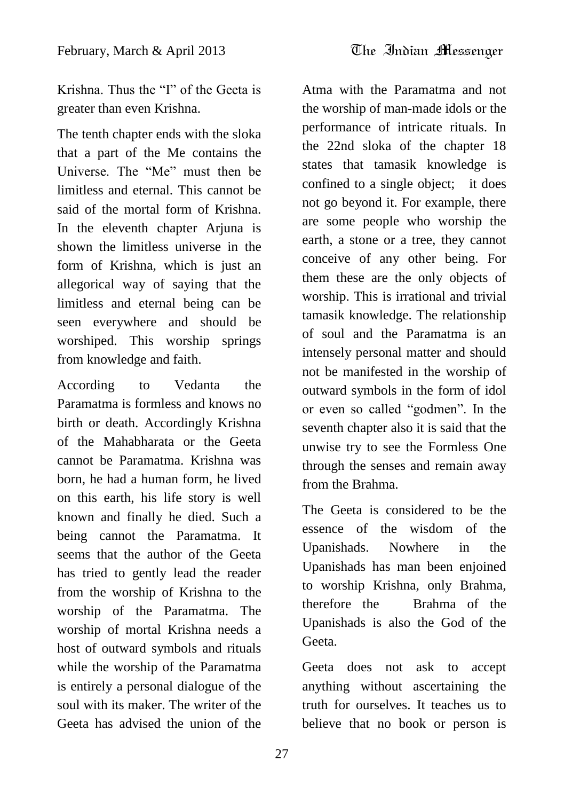Krishna. Thus the "I" of the Geeta is greater than even Krishna.

The tenth chapter ends with the sloka that a part of the Me contains the Universe. The "Me" must then be limitless and eternal. This cannot be said of the mortal form of Krishna. In the eleventh chapter Arjuna is shown the limitless universe in the form of Krishna, which is just an allegorical way of saying that the limitless and eternal being can be seen everywhere and should be worshiped. This worship springs from knowledge and faith.

According to Vedanta the Paramatma is formless and knows no birth or death. Accordingly Krishna of the Mahabharata or the Geeta cannot be Paramatma. Krishna was born, he had a human form, he lived on this earth, his life story is well known and finally he died. Such a being cannot the Paramatma. It seems that the author of the Geeta has tried to gently lead the reader from the worship of Krishna to the worship of the Paramatma. The worship of mortal Krishna needs a host of outward symbols and rituals while the worship of the Paramatma is entirely a personal dialogue of the soul with its maker. The writer of the Geeta has advised the union of the

Atma with the Paramatma and not the worship of man-made idols or the performance of intricate rituals. In the 22nd sloka of the chapter 18 states that tamasik knowledge is confined to a single object; it does not go beyond it. For example, there are some people who worship the earth, a stone or a tree, they cannot conceive of any other being. For them these are the only objects of worship. This is irrational and trivial tamasik knowledge. The relationship of soul and the Paramatma is an intensely personal matter and should not be manifested in the worship of outward symbols in the form of idol or even so called "godmen". In the seventh chapter also it is said that the unwise try to see the Formless One through the senses and remain away from the Brahma.

The Geeta is considered to be the essence of the wisdom of the Upanishads. Nowhere in the Upanishads has man been enjoined to worship Krishna, only Brahma, therefore the Brahma of the Upanishads is also the God of the Geeta.

Geeta does not ask to accept anything without ascertaining the truth for ourselves. It teaches us to believe that no book or person is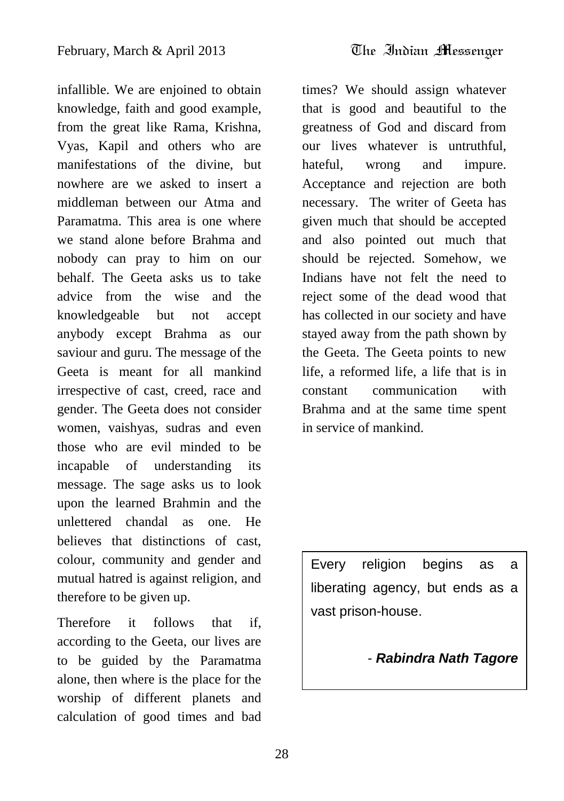infallible. We are enjoined to obtain knowledge, faith and good example, from the great like Rama, Krishna, Vyas, Kapil and others who are manifestations of the divine, but nowhere are we asked to insert a middleman between our Atma and Paramatma. This area is one where we stand alone before Brahma and nobody can pray to him on our behalf. The Geeta asks us to take advice from the wise and the knowledgeable but not accept anybody except Brahma as our saviour and guru. The message of the Geeta is meant for all mankind irrespective of cast, creed, race and gender. The Geeta does not consider women, vaishyas, sudras and even those who are evil minded to be incapable of understanding its message. The sage asks us to look upon the learned Brahmin and the unlettered chandal as one. He believes that distinctions of cast, colour, community and gender and mutual hatred is against religion, and therefore to be given up.

Therefore it follows that if, according to the Geeta, our lives are to be guided by the Paramatma alone, then where is the place for the worship of different planets and calculation of good times and bad times? We should assign whatever that is good and beautiful to the greatness of God and discard from our lives whatever is untruthful, hateful, wrong and impure. Acceptance and rejection are both necessary. The writer of Geeta has given much that should be accepted and also pointed out much that should be rejected. Somehow, we Indians have not felt the need to reject some of the dead wood that has collected in our society and have stayed away from the path shown by the Geeta. The Geeta points to new life, a reformed life, a life that is in constant communication with Brahma and at the same time spent in service of mankind.

Every religion begins as a liberating agency, but ends as a vast prison-house.

<sup>-</sup> *Rabindra Nath Tagore*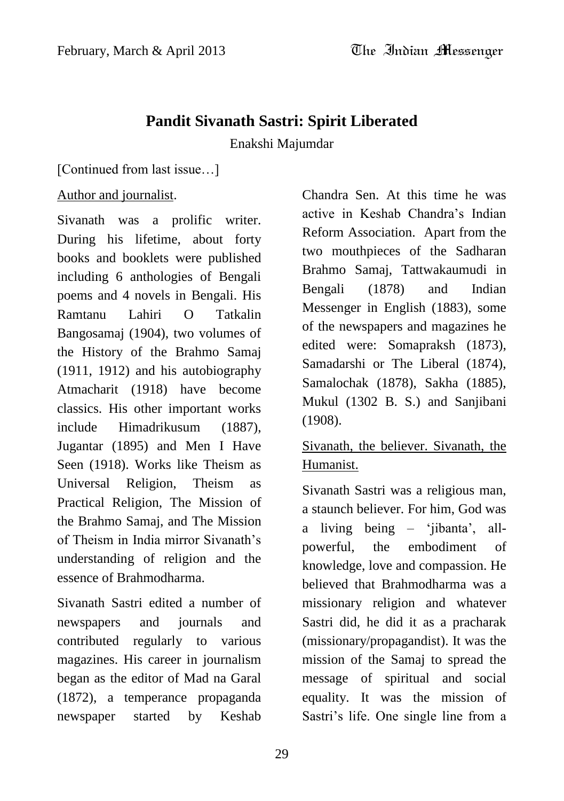# **Pandit Sivanath Sastri: Spirit Liberated**

Enakshi Majumdar

[Continued from last issue…]

#### Author and journalist.

Sivanath was a prolific writer. During his lifetime, about forty books and booklets were published including 6 anthologies of Bengali poems and 4 novels in Bengali. His Ramtanu Lahiri O Tatkalin Bangosamaj (1904), two volumes of the History of the Brahmo Samaj (1911, 1912) and his autobiography Atmacharit (1918) have become classics. His other important works include Himadrikusum (1887), Jugantar (1895) and Men I Have Seen (1918). Works like Theism as Universal Religion, Theism as Practical Religion, The Mission of the Brahmo Samaj, and The Mission of Theism in India mirror Sivanath"s understanding of religion and the essence of Brahmodharma.

Sivanath Sastri edited a number of newspapers and journals and contributed regularly to various magazines. His career in journalism began as the editor of Mad na Garal (1872), a temperance propaganda newspaper started by Keshab Chandra Sen. At this time he was active in Keshab Chandra"s Indian Reform Association. Apart from the two mouthpieces of the Sadharan Brahmo Samaj, Tattwakaumudi in Bengali (1878) and Indian Messenger in English (1883), some of the newspapers and magazines he edited were: Somapraksh (1873), Samadarshi or The Liberal (1874), Samalochak (1878), Sakha (1885), Mukul (1302 B. S.) and Sanjibani (1908).

# Sivanath, the believer. Sivanath, the Humanist.

Sivanath Sastri was a religious man, a staunch believer. For him, God was a living being – "jibanta", allpowerful, the embodiment of knowledge, love and compassion. He believed that Brahmodharma was a missionary religion and whatever Sastri did, he did it as a pracharak (missionary/propagandist). It was the mission of the Samaj to spread the message of spiritual and social equality. It was the mission of Sastri's life. One single line from a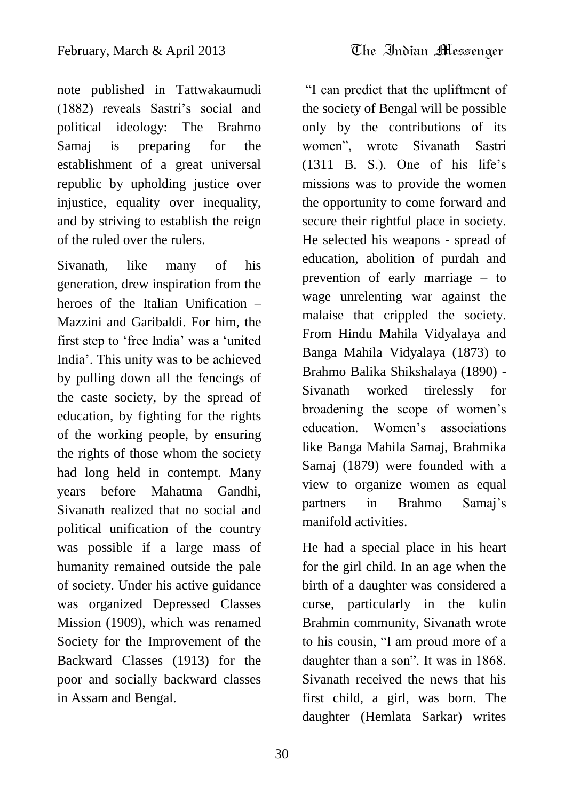note published in Tattwakaumudi (1882) reveals Sastri"s social and political ideology: The Brahmo Samaj is preparing for the establishment of a great universal republic by upholding justice over injustice, equality over inequality, and by striving to establish the reign of the ruled over the rulers.

Sivanath, like many of his generation, drew inspiration from the heroes of the Italian Unification – Mazzini and Garibaldi. For him, the first step to "free India" was a "united India". This unity was to be achieved by pulling down all the fencings of the caste society, by the spread of education, by fighting for the rights of the working people, by ensuring the rights of those whom the society had long held in contempt. Many years before Mahatma Gandhi, Sivanath realized that no social and political unification of the country was possible if a large mass of humanity remained outside the pale of society. Under his active guidance was organized Depressed Classes Mission (1909), which was renamed Society for the Improvement of the Backward Classes (1913) for the poor and socially backward classes in Assam and Bengal.

"I can predict that the upliftment of the society of Bengal will be possible only by the contributions of its women", wrote Sivanath Sastri  $(1311 \text{ B. S.})$ . One of his life's missions was to provide the women the opportunity to come forward and secure their rightful place in society. He selected his weapons - spread of education, abolition of purdah and prevention of early marriage – to wage unrelenting war against the malaise that crippled the society. From Hindu Mahila Vidyalaya and Banga Mahila Vidyalaya (1873) to Brahmo Balika Shikshalaya (1890) - Sivanath worked tirelessly for broadening the scope of women"s education. Women's associations like Banga Mahila Samaj, Brahmika Samaj (1879) were founded with a view to organize women as equal partners in Brahmo Samaj"s manifold activities.

He had a special place in his heart for the girl child. In an age when the birth of a daughter was considered a curse, particularly in the kulin Brahmin community, Sivanath wrote to his cousin, "I am proud more of a daughter than a son". It was in 1868. Sivanath received the news that his first child, a girl, was born. The daughter (Hemlata Sarkar) writes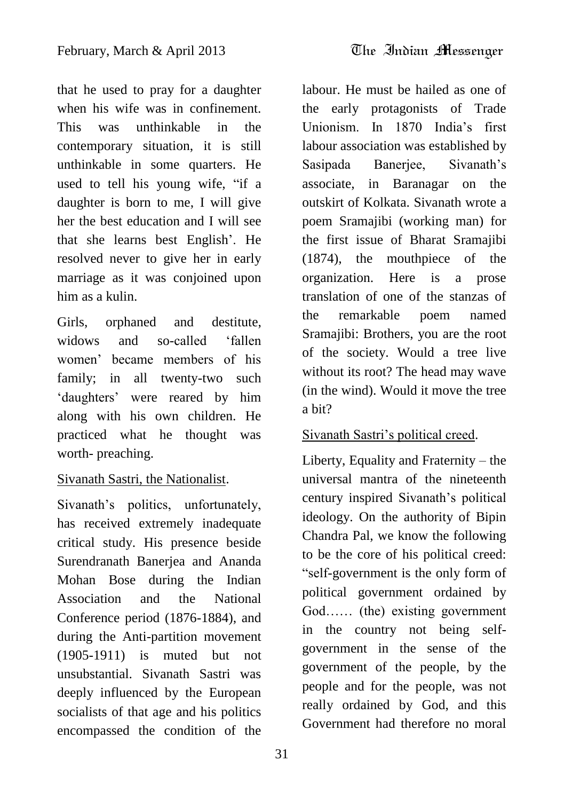that he used to pray for a daughter when his wife was in confinement. This was unthinkable in the contemporary situation, it is still unthinkable in some quarters. He used to tell his young wife, "if a daughter is born to me, I will give her the best education and I will see that she learns best English". He resolved never to give her in early marriage as it was conjoined upon him as a kulin.

Girls, orphaned and destitute, widows and so-called 'fallen women" became members of his family; in all twenty-two such "daughters" were reared by him along with his own children. He practiced what he thought was worth- preaching.

#### Sivanath Sastri, the Nationalist.

Sivanath's politics, unfortunately, has received extremely inadequate critical study. His presence beside Surendranath Banerjea and Ananda Mohan Bose during the Indian Association and the National Conference period (1876-1884), and during the Anti-partition movement (1905-1911) is muted but not unsubstantial. Sivanath Sastri was deeply influenced by the European socialists of that age and his politics encompassed the condition of the

labour. He must be hailed as one of the early protagonists of Trade Unionism. In 1870 India"s first labour association was established by Sasipada Banerjee, Sivanath"s associate, in Baranagar on the outskirt of Kolkata. Sivanath wrote a poem Sramajibi (working man) for the first issue of Bharat Sramajibi (1874), the mouthpiece of the organization. Here is a prose translation of one of the stanzas of the remarkable poem named Sramajibi: Brothers, you are the root of the society. Would a tree live without its root? The head may wave (in the wind). Would it move the tree a bit?

#### Sivanath Sastri's political creed.

Liberty, Equality and Fraternity – the universal mantra of the nineteenth century inspired Sivanath"s political ideology. On the authority of Bipin Chandra Pal, we know the following to be the core of his political creed: "self-government is the only form of political government ordained by God…… (the) existing government in the country not being selfgovernment in the sense of the government of the people, by the people and for the people, was not really ordained by God, and this Government had therefore no moral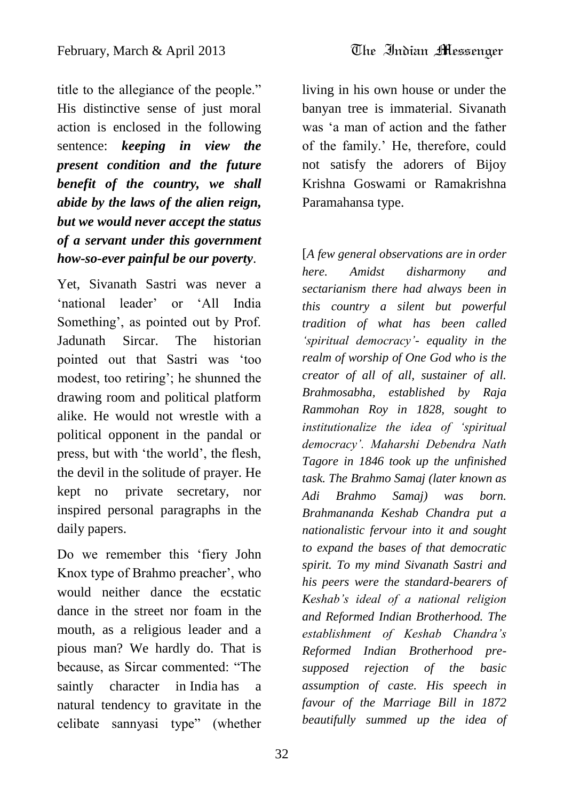title to the allegiance of the people." His distinctive sense of just moral action is enclosed in the following sentence: *keeping in view the present condition and the future benefit of the country, we shall abide by the laws of the alien reign, but we would never accept the status*

*of a servant under this government how-so-ever painful be our poverty*.

Yet, Sivanath Sastri was never a 'national leader' or 'All India Something', as pointed out by Prof. Jadunath Sircar. The historian pointed out that Sastri was "too modest, too retiring"; he shunned the drawing room and political platform alike. He would not wrestle with a political opponent in the pandal or press, but with "the world", the flesh, the devil in the solitude of prayer. He kept no private secretary, nor inspired personal paragraphs in the daily papers.

Do we remember this "fiery John Knox type of Brahmo preacher', who would neither dance the ecstatic dance in the street nor foam in the mouth, as a religious leader and a pious man? We hardly do. That is because, as Sircar commented: "The saintly character in India has a natural tendency to gravitate in the celibate sannyasi type" (whether

living in his own house or under the banyan tree is immaterial. Sivanath was "a man of action and the father of the family." He, therefore, could not satisfy the adorers of Bijoy Krishna Goswami or Ramakrishna Paramahansa type.

[*A few general observations are in order here. Amidst disharmony and sectarianism there had always been in this country a silent but powerful tradition of what has been called 'spiritual democracy'- equality in the realm of worship of One God who is the creator of all of all, sustainer of all. Brahmosabha, established by Raja Rammohan Roy in 1828, sought to institutionalize the idea of 'spiritual democracy'. Maharshi Debendra Nath Tagore in 1846 took up the unfinished task. The Brahmo Samaj (later known as Adi Brahmo Samaj) was born. Brahmananda Keshab Chandra put a nationalistic fervour into it and sought to expand the bases of that democratic spirit. To my mind Sivanath Sastri and his peers were the standard-bearers of Keshab's ideal of a national religion and Reformed Indian Brotherhood. The establishment of Keshab Chandra's Reformed Indian Brotherhood presupposed rejection of the basic assumption of caste. His speech in favour of the Marriage Bill in 1872 beautifully summed up the idea of*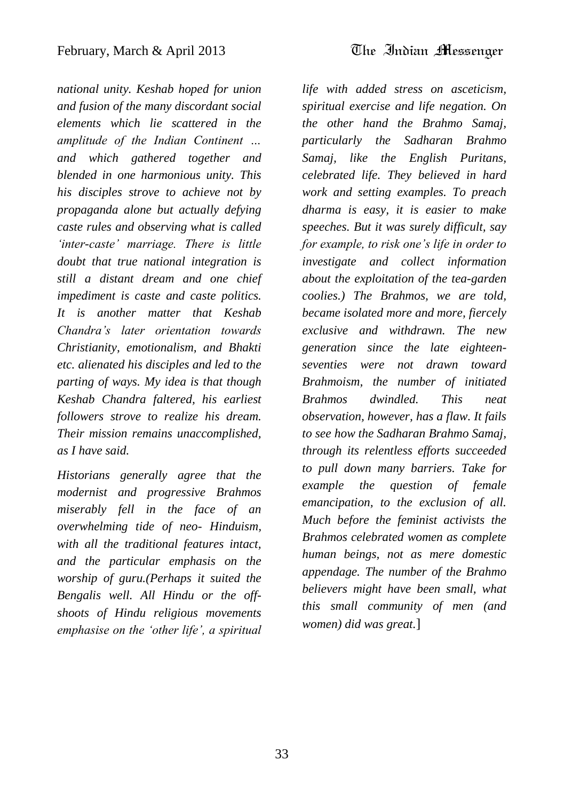*national unity. Keshab hoped for union and fusion of the many discordant social elements which lie scattered in the amplitude of the Indian Continent … and which gathered together and blended in one harmonious unity. This his disciples strove to achieve not by propaganda alone but actually defying caste rules and observing what is called 'inter-caste' marriage. There is little doubt that true national integration is still a distant dream and one chief impediment is caste and caste politics. It is another matter that Keshab Chandra's later orientation towards Christianity, emotionalism, and Bhakti etc. alienated his disciples and led to the parting of ways. My idea is that though Keshab Chandra faltered, his earliest followers strove to realize his dream. Their mission remains unaccomplished, as I have said.* 

*Historians generally agree that the modernist and progressive Brahmos miserably fell in the face of an overwhelming tide of neo- Hinduism, with all the traditional features intact, and the particular emphasis on the worship of guru.(Perhaps it suited the Bengalis well. All Hindu or the offshoots of Hindu religious movements emphasise on the 'other life', a spiritual* 

*life with added stress on asceticism, spiritual exercise and life negation. On the other hand the Brahmo Samaj, particularly the Sadharan Brahmo Samaj, like the English Puritans, celebrated life. They believed in hard work and setting examples. To preach dharma is easy, it is easier to make speeches. But it was surely difficult, say for example, to risk one's life in order to investigate and collect information about the exploitation of the tea-garden coolies.) The Brahmos, we are told, became isolated more and more, fiercely exclusive and withdrawn. The new generation since the late eighteenseventies were not drawn toward Brahmoism, the number of initiated Brahmos dwindled. This neat observation, however, has a flaw. It fails to see how the Sadharan Brahmo Samaj, through its relentless efforts succeeded to pull down many barriers. Take for example the question of female emancipation, to the exclusion of all. Much before the feminist activists the Brahmos celebrated women as complete human beings, not as mere domestic appendage. The number of the Brahmo believers might have been small, what this small community of men (and women) did was great.*]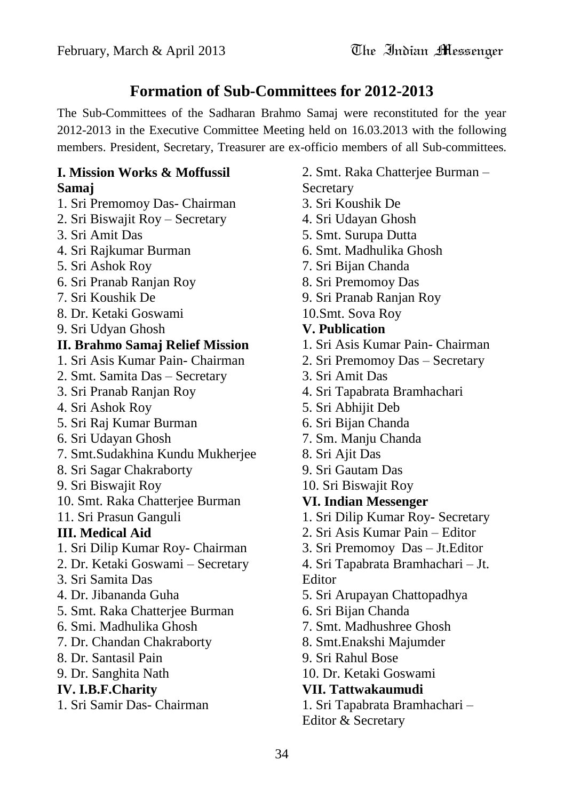# **Formation of Sub-Committees for 2012-2013**

The Sub-Committees of the Sadharan Brahmo Samaj were reconstituted for the year 2012-2013 in the Executive Committee Meeting held on 16.03.2013 with the following members. President, Secretary, Treasurer are ex-officio members of all Sub-committees.

#### **I. Mission Works & Moffussil Samaj**

- 1. Sri Premomoy Das- Chairman
- 2. Sri Biswajit Roy Secretary
- 3. Sri Amit Das
- 4. Sri Rajkumar Burman
- 5. Sri Ashok Roy
- 6. Sri Pranab Ranjan Roy
- 7. Sri Koushik De
- 8. Dr. Ketaki Goswami
- 9. Sri Udyan Ghosh

#### **II. Brahmo Samaj Relief Mission**

- 1. Sri Asis Kumar Pain- Chairman
- 2. Smt. Samita Das Secretary
- 3. Sri Pranab Ranjan Roy
- 4. Sri Ashok Roy
- 5. Sri Raj Kumar Burman
- 6. Sri Udayan Ghosh
- 7. Smt.Sudakhina Kundu Mukherjee
- 8. Sri Sagar Chakraborty
- 9. Sri Biswajit Roy
- 10. Smt. Raka Chatterjee Burman
- 11. Sri Prasun Ganguli

#### **III. Medical Aid**

- 1. Sri Dilip Kumar Roy- Chairman
- 2. Dr. Ketaki Goswami Secretary
- 3. Sri Samita Das
- 4. Dr. Jibananda Guha
- 5. Smt. Raka Chatterjee Burman
- 6. Smi. Madhulika Ghosh
- 7. Dr. Chandan Chakraborty
- 8. Dr. Santasil Pain
- 9. Dr. Sanghita Nath

#### **IV. I.B.F.Charity**

1. Sri Samir Das- Chairman

- 2. Smt. Raka Chatterjee Burman Secretary
- 3. Sri Koushik De
- 4. Sri Udayan Ghosh
- 5. Smt. Surupa Dutta
- 6. Smt. Madhulika Ghosh
- 7. Sri Bijan Chanda
- 8. Sri Premomoy Das
- 9. Sri Pranab Ranjan Roy
- 10.Smt. Sova Roy

#### **V. Publication**

- 1. Sri Asis Kumar Pain- Chairman
- 2. Sri Premomoy Das Secretary
- 3. Sri Amit Das
- 4. Sri Tapabrata Bramhachari
- 5. Sri Abhijit Deb
- 6. Sri Bijan Chanda
- 7. Sm. Manju Chanda
- 8. Sri Ajit Das
- 9. Sri Gautam Das
- 10. Sri Biswajit Roy

#### **VI. Indian Messenger**

- 1. Sri Dilip Kumar Roy- Secretary
- 2. Sri Asis Kumar Pain Editor
- 3. Sri Premomoy Das Jt.Editor
- 4. Sri Tapabrata Bramhachari Jt. Editor
- 5. Sri Arupayan Chattopadhya
- 6. Sri Bijan Chanda
- 7. Smt. Madhushree Ghosh
- 8. Smt.Enakshi Majumder
- 9. Sri Rahul Bose
- 10. Dr. Ketaki Goswami

#### **VII. Tattwakaumudi**

1. Sri Tapabrata Bramhachari – Editor & Secretary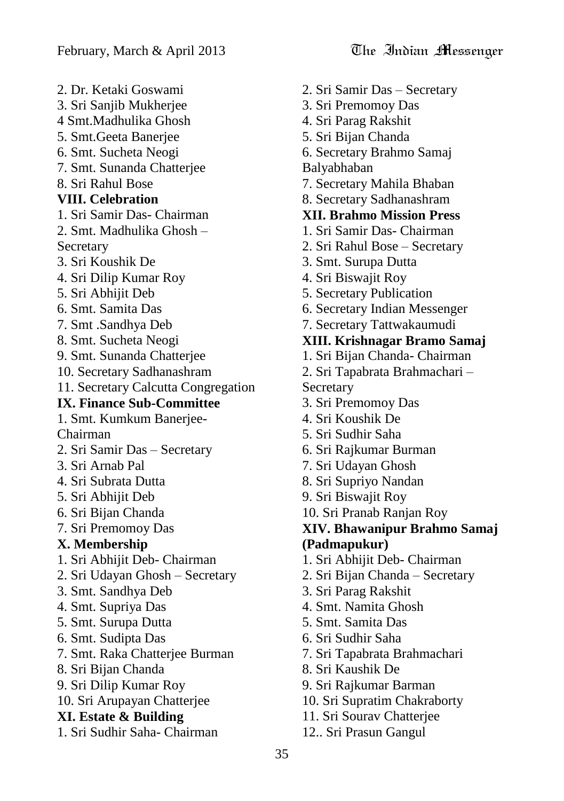2. Dr. Ketaki Goswami 3. Sri Sanjib Mukherjee 4 Smt.Madhulika Ghosh 5. Smt.Geeta Banerjee 6. Smt. Sucheta Neogi 7. Smt. Sunanda Chatterjee 8. Sri Rahul Bose **VIII. Celebration**  1. Sri Samir Das- Chairman 2. Smt. Madhulika Ghosh – **Secretary** 3. Sri Koushik De 4. Sri Dilip Kumar Roy 5. Sri Abhijit Deb 6. Smt. Samita Das 7. Smt .Sandhya Deb 8. Smt. Sucheta Neogi 9. Smt. Sunanda Chatterjee 10. Secretary Sadhanashram 11. Secretary Calcutta Congregation **IX. Finance Sub-Committee** 1. Smt. Kumkum Banerjee-Chairman 2. Sri Samir Das – Secretary 3. Sri Arnab Pal 4. Sri Subrata Dutta 5. Sri Abhijit Deb 6. Sri Bijan Chanda 7. Sri Premomoy Das **X. Membership**  1. Sri Abhijit Deb- Chairman 2. Sri Udayan Ghosh – Secretary 3. Smt. Sandhya Deb 4. Smt. Supriya Das 5. Smt. Surupa Dutta 6. Smt. Sudipta Das 7. Smt. Raka Chatterjee Burman 8. Sri Bijan Chanda 9. Sri Dilip Kumar Roy 10. Sri Arupayan Chatterjee **XI. Estate & Building**  1. Sri Sudhir Saha- Chairman

- 2. Sri Samir Das Secretary 3. Sri Premomoy Das
- 4. Sri Parag Rakshit
- 5. Sri Bijan Chanda
- 6. Secretary Brahmo Samaj

Balyabhaban

- 7. Secretary Mahila Bhaban
- 8. Secretary Sadhanashram
- **XII. Brahmo Mission Press**
- 1. Sri Samir Das- Chairman
- 2. Sri Rahul Bose Secretary
- 3. Smt. Surupa Dutta
- 4. Sri Biswajit Roy
- 5. Secretary Publication
- 6. Secretary Indian Messenger
- 7. Secretary Tattwakaumudi
- **XIII. Krishnagar Bramo Samaj**
- 1. Sri Bijan Chanda- Chairman
- 2. Sri Tapabrata Brahmachari Secretary
- 3. Sri Premomoy Das
- 4. Sri Koushik De
- 5. Sri Sudhir Saha
- 6. Sri Rajkumar Burman
- 7. Sri Udayan Ghosh
- 8. Sri Supriyo Nandan
- 9. Sri Biswajit Roy
- 10. Sri Pranab Ranjan Roy
- **XIV. Bhawanipur Brahmo Samaj (Padmapukur)**
- 1. Sri Abhijit Deb- Chairman
- 2. Sri Bijan Chanda Secretary
- 3. Sri Parag Rakshit
- 4. Smt. Namita Ghosh
- 5. Smt. Samita Das
- 6. Sri Sudhir Saha
- 7. Sri Tapabrata Brahmachari
- 8. Sri Kaushik De
- 9. Sri Rajkumar Barman
- 10. Sri Supratim Chakraborty
- 11. Sri Sourav Chatterjee
- 12.. Sri Prasun Gangul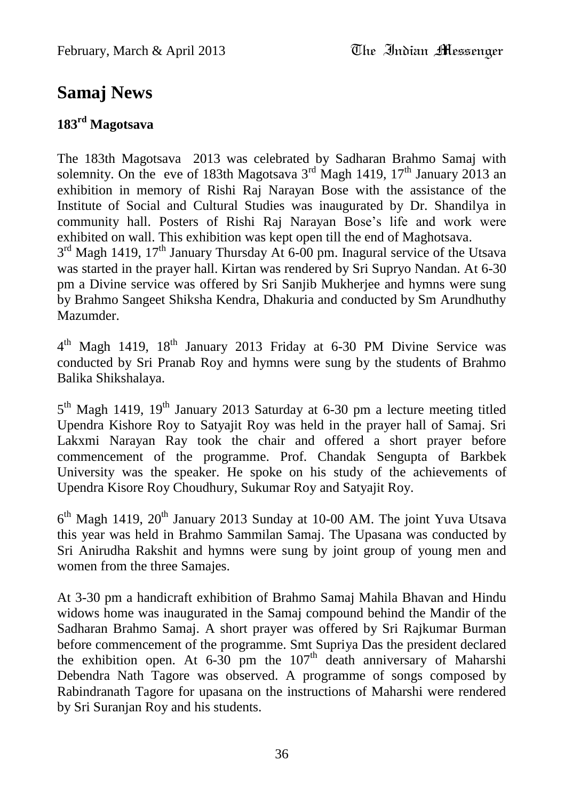# **Samaj News**

# **183rd Magotsava**

The 183th Magotsava 2013 was celebrated by Sadharan Brahmo Samaj with solemnity. On the eve of 183th Magotsava  $3<sup>rd</sup>$  Magh 1419, 17<sup>th</sup> January 2013 an exhibition in memory of Rishi Raj Narayan Bose with the assistance of the Institute of Social and Cultural Studies was inaugurated by Dr. Shandilya in community hall. Posters of Rishi Raj Narayan Bose"s life and work were exhibited on wall. This exhibition was kept open till the end of Maghotsava. 3<sup>rd</sup> Magh 1419, 17<sup>th</sup> January Thursday At 6-00 pm. Inagural service of the Utsava was started in the prayer hall. Kirtan was rendered by Sri Supryo Nandan. At 6-30 pm a Divine service was offered by Sri Sanjib Mukherjee and hymns were sung by Brahmo Sangeet Shiksha Kendra, Dhakuria and conducted by Sm Arundhuthy Mazumder.

4<sup>th</sup> Magh 1419, 18<sup>th</sup> January 2013 Friday at 6-30 PM Divine Service was conducted by Sri Pranab Roy and hymns were sung by the students of Brahmo Balika Shikshalaya.

5<sup>th</sup> Magh 1419, 19<sup>th</sup> January 2013 Saturday at 6-30 pm a lecture meeting titled Upendra Kishore Roy to Satyajit Roy was held in the prayer hall of Samaj. Sri Lakxmi Narayan Ray took the chair and offered a short prayer before commencement of the programme. Prof. Chandak Sengupta of Barkbek University was the speaker. He spoke on his study of the achievements of Upendra Kisore Roy Choudhury, Sukumar Roy and Satyajit Roy.

 $6<sup>th</sup>$  Magh 1419,  $20<sup>th</sup>$  January 2013 Sunday at 10-00 AM. The joint Yuva Utsava this year was held in Brahmo Sammilan Samaj. The Upasana was conducted by Sri Anirudha Rakshit and hymns were sung by joint group of young men and women from the three Samajes.

At 3-30 pm a handicraft exhibition of Brahmo Samaj Mahila Bhavan and Hindu widows home was inaugurated in the Samaj compound behind the Mandir of the Sadharan Brahmo Samaj. A short prayer was offered by Sri Rajkumar Burman before commencement of the programme. Smt Supriya Das the president declared the exhibition open. At  $6-30$  pm the  $107<sup>th</sup>$  death anniversary of Maharshi Debendra Nath Tagore was observed. A programme of songs composed by Rabindranath Tagore for upasana on the instructions of Maharshi were rendered by Sri Suranjan Roy and his students.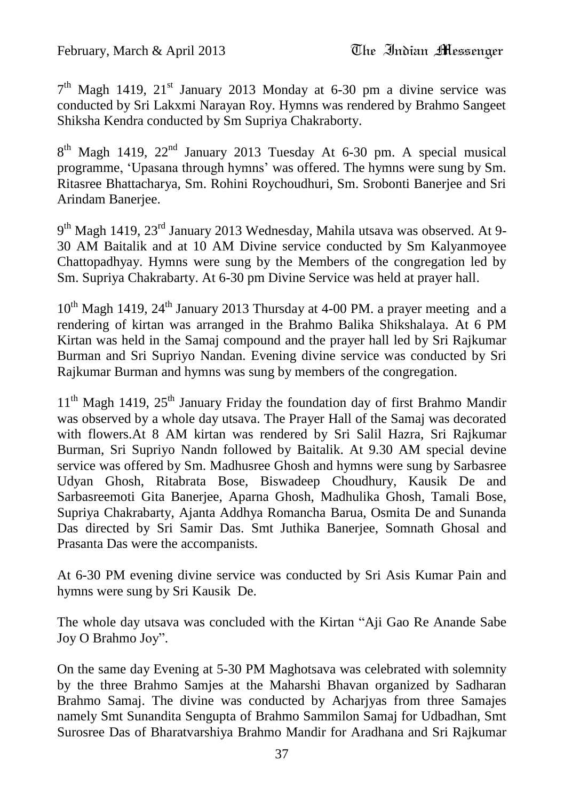#### February, March & April 2013 The Indian Messenger

7<sup>th</sup> Magh 1419, 21<sup>st</sup> January 2013 Monday at 6-30 pm a divine service was conducted by Sri Lakxmi Narayan Roy. Hymns was rendered by Brahmo Sangeet Shiksha Kendra conducted by Sm Supriya Chakraborty.

8<sup>th</sup> Magh 1419, 22<sup>nd</sup> January 2013 Tuesday At 6-30 pm. A special musical programme, "Upasana through hymns" was offered. The hymns were sung by Sm. Ritasree Bhattacharya, Sm. Rohini Roychoudhuri, Sm. Srobonti Banerjee and Sri Arindam Banerjee.

9<sup>th</sup> Magh 1419, 23<sup>rd</sup> January 2013 Wednesday, Mahila utsava was observed. At 9-30 AM Baitalik and at 10 AM Divine service conducted by Sm Kalyanmoyee Chattopadhyay. Hymns were sung by the Members of the congregation led by Sm. Supriya Chakrabarty. At 6-30 pm Divine Service was held at prayer hall.

10<sup>th</sup> Magh 1419, 24<sup>th</sup> January 2013 Thursday at 4-00 PM. a prayer meeting and a rendering of kirtan was arranged in the Brahmo Balika Shikshalaya. At 6 PM Kirtan was held in the Samaj compound and the prayer hall led by Sri Rajkumar Burman and Sri Supriyo Nandan. Evening divine service was conducted by Sri Rajkumar Burman and hymns was sung by members of the congregation.

 $11<sup>th</sup>$  Magh 1419,  $25<sup>th</sup>$  January Friday the foundation day of first Brahmo Mandir was observed by a whole day utsava. The Prayer Hall of the Samaj was decorated with flowers.At 8 AM kirtan was rendered by Sri Salil Hazra, Sri Rajkumar Burman, Sri Supriyo Nandn followed by Baitalik. At 9.30 AM special devine service was offered by Sm. Madhusree Ghosh and hymns were sung by Sarbasree Udyan Ghosh, Ritabrata Bose, Biswadeep Choudhury, Kausik De and Sarbasreemoti Gita Banerjee, Aparna Ghosh, Madhulika Ghosh, Tamali Bose, Supriya Chakrabarty, Ajanta Addhya Romancha Barua, Osmita De and Sunanda Das directed by Sri Samir Das. Smt Juthika Banerjee, Somnath Ghosal and Prasanta Das were the accompanists.

At 6-30 PM evening divine service was conducted by Sri Asis Kumar Pain and hymns were sung by Sri Kausik De.

The whole day utsava was concluded with the Kirtan "Aji Gao Re Anande Sabe Joy O Brahmo Joy".

On the same day Evening at 5-30 PM Maghotsava was celebrated with solemnity by the three Brahmo Samjes at the Maharshi Bhavan organized by Sadharan Brahmo Samaj. The divine was conducted by Acharjyas from three Samajes namely Smt Sunandita Sengupta of Brahmo Sammilon Samaj for Udbadhan, Smt Surosree Das of Bharatvarshiya Brahmo Mandir for Aradhana and Sri Rajkumar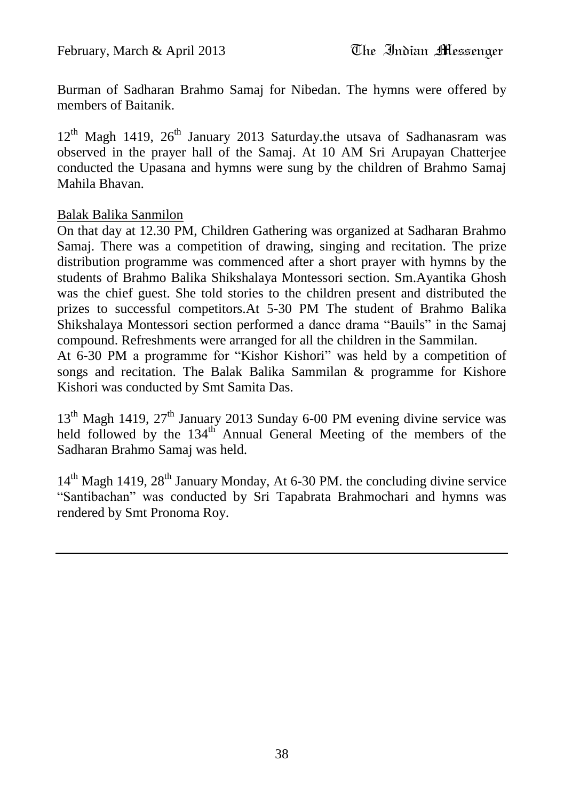Burman of Sadharan Brahmo Samaj for Nibedan. The hymns were offered by members of Baitanik.

 $12<sup>th</sup>$  Magh 1419,  $26<sup>th</sup>$  January 2013 Saturday.the utsava of Sadhanasram was observed in the prayer hall of the Samaj. At 10 AM Sri Arupayan Chatterjee conducted the Upasana and hymns were sung by the children of Brahmo Samaj Mahila Bhavan.

#### Balak Balika Sanmilon

On that day at 12.30 PM, Children Gathering was organized at Sadharan Brahmo Samaj. There was a competition of drawing, singing and recitation. The prize distribution programme was commenced after a short prayer with hymns by the students of Brahmo Balika Shikshalaya Montessori section. Sm.Ayantika Ghosh was the chief guest. She told stories to the children present and distributed the prizes to successful competitors.At 5-30 PM The student of Brahmo Balika Shikshalaya Montessori section performed a dance drama "Bauils" in the Samaj compound. Refreshments were arranged for all the children in the Sammilan.

At 6-30 PM a programme for "Kishor Kishori" was held by a competition of songs and recitation. The Balak Balika Sammilan & programme for Kishore Kishori was conducted by Smt Samita Das.

 $13<sup>th</sup>$  Magh 1419,  $27<sup>th</sup>$  January 2013 Sunday 6-00 PM evening divine service was held followed by the 134<sup>th</sup> Annual General Meeting of the members of the Sadharan Brahmo Samaj was held.

14<sup>th</sup> Magh 1419, 28<sup>th</sup> January Monday, At 6-30 PM. the concluding divine service "Santibachan" was conducted by Sri Tapabrata Brahmochari and hymns was rendered by Smt Pronoma Roy.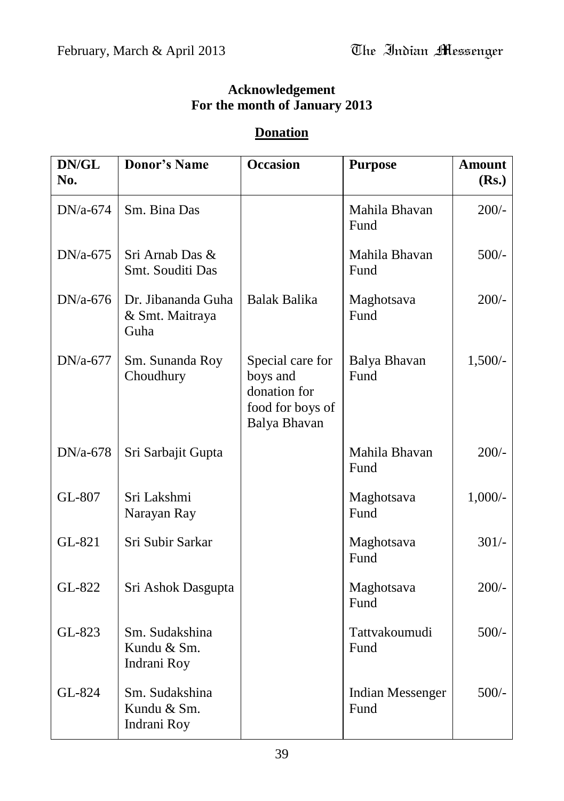# **Acknowledgement For the month of January 2013**

### **Donation**

| DN/GL<br>No. | <b>Donor's Name</b>                           | <b>Occasion</b>                                                                  | <b>Purpose</b>                  | <b>Amount</b><br>(Rs.) |
|--------------|-----------------------------------------------|----------------------------------------------------------------------------------|---------------------------------|------------------------|
| $DN/a-674$   | Sm. Bina Das                                  |                                                                                  | Mahila Bhavan<br>Fund           | $200/-$                |
| $DN/a-675$   | Sri Arnab Das &<br>Smt. Souditi Das           |                                                                                  | Mahila Bhavan<br>Fund           | $500/-$                |
| $DN/a-676$   | Dr. Jibananda Guha<br>& Smt. Maitraya<br>Guha | <b>Balak Balika</b>                                                              | Maghotsava<br>Fund              | $200/-$                |
| $DN/a-677$   | Sm. Sunanda Roy<br>Choudhury                  | Special care for<br>boys and<br>donation for<br>food for boys of<br>Balya Bhavan | Balya Bhavan<br>Fund            | $1,500/-$              |
| DN/a-678     | Sri Sarbajit Gupta                            |                                                                                  | Mahila Bhavan<br>Fund           | $200/-$                |
| GL-807       | Sri Lakshmi<br>Narayan Ray                    |                                                                                  | Maghotsava<br>Fund              | $1,000/-$              |
| GL-821       | Sri Subir Sarkar                              |                                                                                  | Maghotsava<br>Fund              | $301/-$                |
| GL-822       | Sri Ashok Dasgupta                            |                                                                                  | Maghotsava<br>Fund              | $200/-$                |
| GL-823       | Sm. Sudakshina<br>Kundu & Sm.<br>Indrani Roy  |                                                                                  | Tattvakoumudi<br>Fund           | $500/-$                |
| GL-824       | Sm. Sudakshina<br>Kundu & Sm.<br>Indrani Roy  |                                                                                  | <b>Indian Messenger</b><br>Fund | $500/-$                |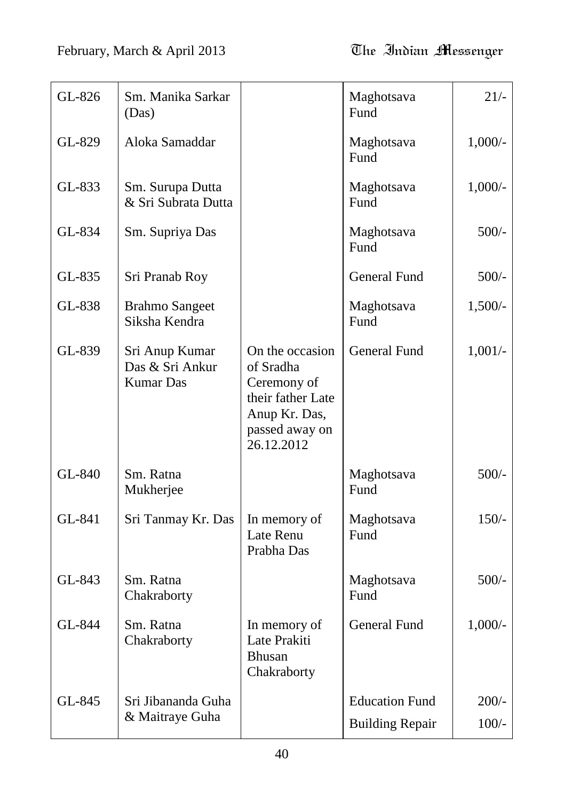| GL-826 | Sm. Manika Sarkar<br>(Das)                            |                                                                                                                   | Maghotsava<br>Fund     | $21/-$    |
|--------|-------------------------------------------------------|-------------------------------------------------------------------------------------------------------------------|------------------------|-----------|
| GL-829 | Aloka Samaddar                                        |                                                                                                                   | Maghotsava<br>Fund     | $1,000/-$ |
| GL-833 | Sm. Surupa Dutta<br>& Sri Subrata Dutta               |                                                                                                                   | Maghotsava<br>Fund     | $1,000/-$ |
| GL-834 | Sm. Supriya Das                                       |                                                                                                                   | Maghotsava<br>Fund     | $500/-$   |
| GL-835 | Sri Pranab Roy                                        |                                                                                                                   | <b>General Fund</b>    | $500/-$   |
| GL-838 | <b>Brahmo Sangeet</b><br>Siksha Kendra                |                                                                                                                   | Maghotsava<br>Fund     | $1,500/-$ |
| GL-839 | Sri Anup Kumar<br>Das & Sri Ankur<br><b>Kumar Das</b> | On the occasion<br>of Sradha<br>Ceremony of<br>their father Late<br>Anup Kr. Das,<br>passed away on<br>26.12.2012 | <b>General Fund</b>    | $1,001/-$ |
| GL-840 | Sm. Ratna<br>Mukherjee                                |                                                                                                                   | Maghotsava<br>Fund     | $500/-$   |
| GL-841 | Sri Tanmay Kr. Das                                    | In memory of<br>Late Renu<br>Prabha Das                                                                           | Maghotsava<br>Fund     | $150/-$   |
| GL-843 | Sm. Ratna<br>Chakraborty                              |                                                                                                                   | Maghotsava<br>Fund     | $500/-$   |
| GL-844 | Sm. Ratna<br>Chakraborty                              | In memory of<br>Late Prakiti<br><b>Bhusan</b><br>Chakraborty                                                      | General Fund           | $1,000/-$ |
| GL-845 | Sri Jibananda Guha                                    |                                                                                                                   | <b>Education Fund</b>  | $200/-$   |
|        | & Maitraye Guha                                       |                                                                                                                   | <b>Building Repair</b> | $100/-$   |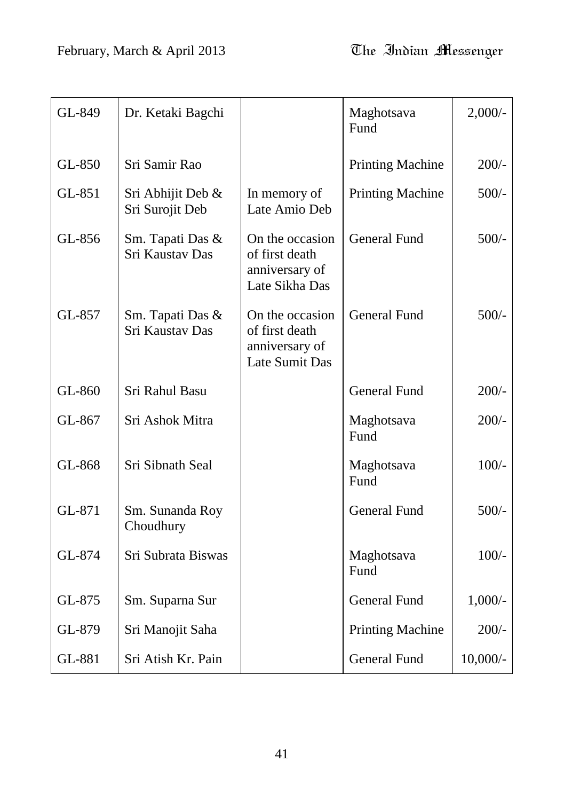| GL-849 | Dr. Ketaki Bagchi                    |                                                                       | Maghotsava<br>Fund      | $2,000/-$  |
|--------|--------------------------------------|-----------------------------------------------------------------------|-------------------------|------------|
| GL-850 | Sri Samir Rao                        |                                                                       | <b>Printing Machine</b> | $200/-$    |
| GL-851 | Sri Abhijit Deb &<br>Sri Surojit Deb | In memory of<br>Late Amio Deb                                         | <b>Printing Machine</b> | $500/-$    |
| GL-856 | Sm. Tapati Das &<br>Sri Kaustav Das  | On the occasion<br>of first death<br>anniversary of<br>Late Sikha Das | <b>General Fund</b>     | $500/-$    |
| GL-857 | Sm. Tapati Das &<br>Sri Kaustav Das  | On the occasion<br>of first death<br>anniversary of<br>Late Sumit Das | <b>General Fund</b>     | $500/-$    |
| GL-860 | Sri Rahul Basu                       |                                                                       | <b>General Fund</b>     | $200/-$    |
| GL-867 | Sri Ashok Mitra                      |                                                                       | Maghotsava<br>Fund      | $200/-$    |
| GL-868 | Sri Sibnath Seal                     |                                                                       | Maghotsava<br>Fund      | $100/-$    |
| GL-871 | Sm. Sunanda Roy<br>Choudhury         |                                                                       | <b>General Fund</b>     | $500/-$    |
| GL-874 | Sri Subrata Biswas                   |                                                                       | Maghotsava<br>Fund      | $100/-$    |
| GL-875 | Sm. Suparna Sur                      |                                                                       | <b>General Fund</b>     | $1,000/-$  |
| GL-879 | Sri Manojit Saha                     |                                                                       | <b>Printing Machine</b> | $200/-$    |
| GL-881 | Sri Atish Kr. Pain                   |                                                                       | <b>General Fund</b>     | $10,000/-$ |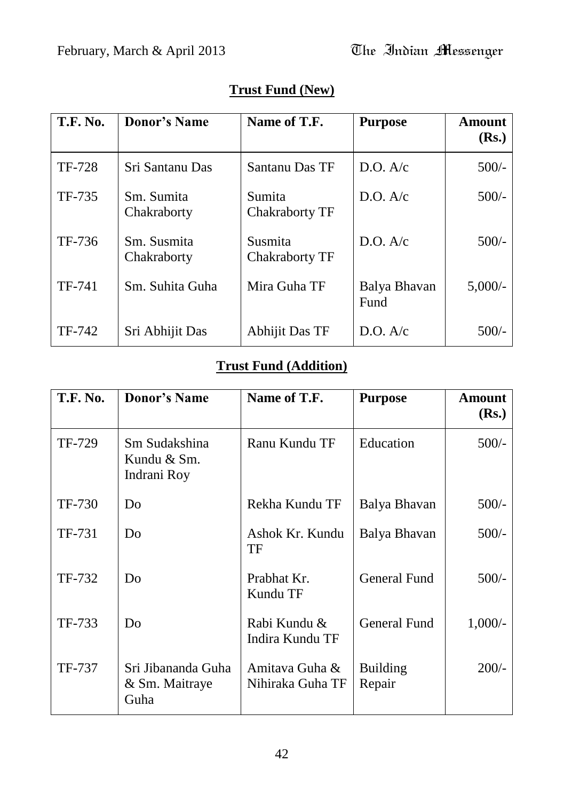| <b>T.F. No.</b> | <b>Donor's Name</b>        | Name of T.F.                     | <b>Purpose</b>       | Amount<br>(Rs.) |
|-----------------|----------------------------|----------------------------------|----------------------|-----------------|
| <b>TF-728</b>   | Sri Santanu Das            | Santanu Das TF                   | D.O. A/c             | $500/-$         |
| TF-735          | Sm. Sumita<br>Chakraborty  | Sumita<br><b>Chakraborty TF</b>  | D.O. A/c             | $500/-$         |
| TF-736          | Sm. Susmita<br>Chakraborty | Susmita<br><b>Chakraborty TF</b> | D.O. A/c             | $500/-$         |
| TF-741          | Sm. Suhita Guha            | Mira Guha TF                     | Balya Bhavan<br>Fund | $5,000/-$       |
| TF-742          | Sri Abhijit Das            | Abhijit Das TF                   | D.O. A/c             | $500/-$         |

# **Trust Fund (New)**

# **Trust Fund (Addition)**

| <b>T.F. No.</b> | <b>Donor's Name</b>                          | Name of T.F.                       | <b>Purpose</b>            | <b>Amount</b><br>(Rs.) |
|-----------------|----------------------------------------------|------------------------------------|---------------------------|------------------------|
| TF-729          | Sm Sudakshina<br>Kundu & Sm.<br>Indrani Roy  | Ranu Kundu TF                      | Education                 | $500/-$                |
| TF-730          | Do                                           | Rekha Kundu TF                     | Balya Bhavan              | $500/-$                |
| TF-731          | Do                                           | Ashok Kr. Kundu<br>TF              | Balya Bhavan              | $500/-$                |
| TF-732          | Do                                           | Prabhat Kr.<br>Kundu TF            | <b>General Fund</b>       | $500/-$                |
| TF-733          | Do                                           | Rabi Kundu &<br>Indira Kundu TF    | <b>General Fund</b>       | $1,000/-$              |
| TF-737          | Sri Jibananda Guha<br>& Sm. Maitraye<br>Guha | Amitava Guha &<br>Nihiraka Guha TF | <b>Building</b><br>Repair | $200/-$                |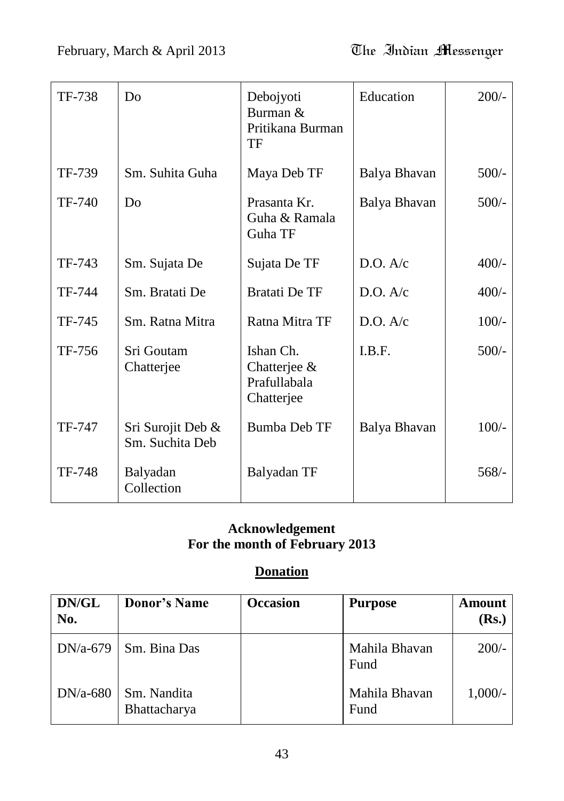| TF-738        | D <sub>0</sub>                       | Debojyoti<br>Burman &<br>Pritikana Burman<br>TF         | Education    | $200/-$ |
|---------------|--------------------------------------|---------------------------------------------------------|--------------|---------|
| TF-739        | Sm. Suhita Guha                      | Maya Deb TF                                             | Balya Bhavan | $500/-$ |
| TF-740        | D <sub>0</sub>                       | Prasanta Kr.<br>Guha & Ramala<br>Guha TF                | Balya Bhavan | $500/-$ |
| TF-743        | Sm. Sujata De                        | Sujata De TF                                            | D.O. A/c     | $400/-$ |
| TF-744        | Sm. Bratati De                       | <b>Bratati De TF</b>                                    | D.O. A/c     | $400/-$ |
| TF-745        | Sm. Ratna Mitra                      | Ratna Mitra TF                                          | D.O. A/c     | $100/-$ |
| TF-756        | Sri Goutam<br>Chatterjee             | Ishan Ch.<br>Chatterjee &<br>Prafullabala<br>Chatterjee | I.B.F.       | $500/-$ |
| TF-747        | Sri Surojit Deb &<br>Sm. Suchita Deb | <b>Bumba Deb TF</b>                                     | Balya Bhavan | $100/-$ |
| <b>TF-748</b> | Balyadan<br>Collection               | Balyadan TF                                             |              | $568/-$ |

# **Acknowledgement For the month of February 2013**

# **Donation**

| DN/GL<br>No. | <b>Donor's Name</b>         | <b>Occasion</b> | <b>Purpose</b>        | <b>Amount</b><br>(Rs.) |
|--------------|-----------------------------|-----------------|-----------------------|------------------------|
| $DN/a-679$   | Sm. Bina Das                |                 | Mahila Bhavan<br>Fund | $200/-$                |
| $DN/a-680$   | Sm. Nandita<br>Bhattacharya |                 | Mahila Bhavan<br>Fund | $1,000/-$              |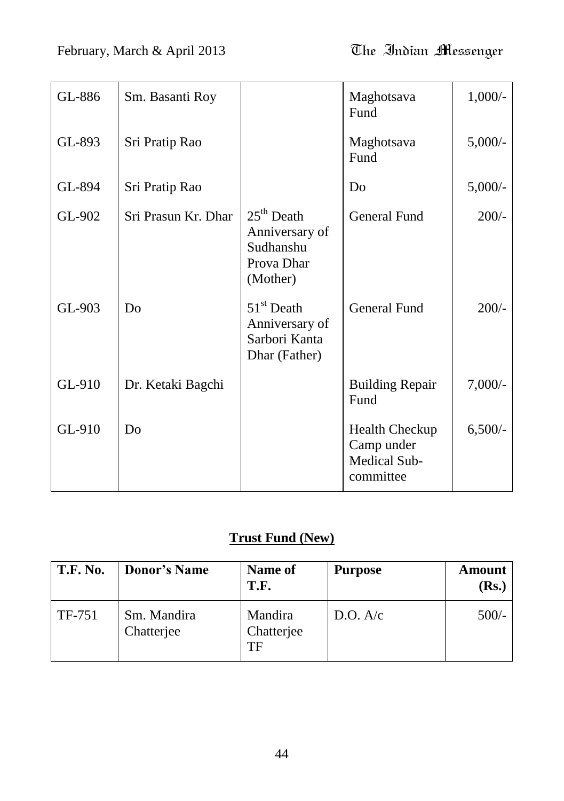| February, March & April 2013 | The Indian Messenger |
|------------------------------|----------------------|
|------------------------------|----------------------|

| GL-886 | Sm. Basanti Roy     |                                                                       | Maghotsava<br>Fund                                               | $1,000/-$  |
|--------|---------------------|-----------------------------------------------------------------------|------------------------------------------------------------------|------------|
| GL-893 | Sri Pratip Rao      |                                                                       | Maghotsava<br>Fund                                               | $5,000/-$  |
| GL-894 | Sri Pratip Rao      |                                                                       | Do                                                               | $5,000/$ - |
| GL-902 | Sri Prasun Kr. Dhar | $25th$ Death<br>Anniversary of<br>Sudhanshu<br>Prova Dhar<br>(Mother) | <b>General Fund</b>                                              | $200/-$    |
| GL-903 | Do                  | $51st$ Death<br>Anniversary of<br>Sarbori Kanta<br>Dhar (Father)      | <b>General Fund</b>                                              | $200/-$    |
| GL-910 | Dr. Ketaki Bagchi   |                                                                       | <b>Building Repair</b><br>Fund                                   | $7,000/-$  |
| GL-910 | Do                  |                                                                       | <b>Health Checkup</b><br>Camp under<br>Medical Sub-<br>committee | $6,500/-$  |

# **Trust Fund (New)**

| <b>T.F. No.</b> | <b>Donor's Name</b>       | Name of<br>T.F.             | <b>Purpose</b> | Amount<br>( <b>Rs.</b> ) |
|-----------------|---------------------------|-----------------------------|----------------|--------------------------|
| TF-751          | Sm. Mandira<br>Chatterjee | Mandira<br>Chatterjee<br>TF | D.O. A/c       | $500/-$                  |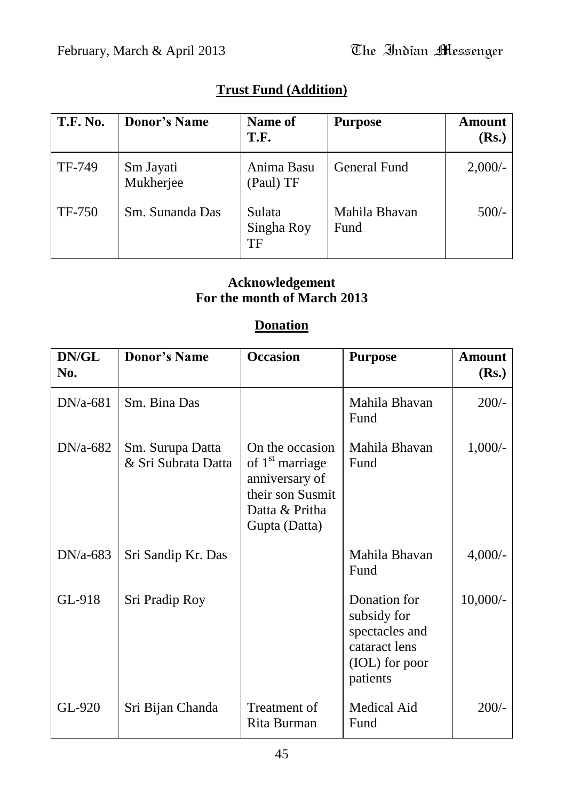# **Trust Fund (Addition)**

| <b>T.F. No.</b> | <b>Donor's Name</b>    | Name of<br>T.F.            | <b>Purpose</b>        | <b>Amount</b><br>(Rs.) |
|-----------------|------------------------|----------------------------|-----------------------|------------------------|
| TF-749          | Sm Jayati<br>Mukherjee | Anima Basu<br>(Paul) TF    | <b>General Fund</b>   | $2,000/-$              |
| <b>TF-750</b>   | Sm. Sunanda Das        | Sulata<br>Singha Roy<br>TF | Mahila Bhavan<br>Fund | $500/-$                |

## **Acknowledgement For the month of March 2013**

#### **Donation**

| DN/GL<br>No. | <b>Donor's Name</b>                     | <b>Occasion</b>                                                                                                         | <b>Purpose</b>                                                                               | <b>Amount</b><br>(Rs.) |
|--------------|-----------------------------------------|-------------------------------------------------------------------------------------------------------------------------|----------------------------------------------------------------------------------------------|------------------------|
| $DN/a-681$   | Sm. Bina Das                            |                                                                                                                         | Mahila Bhavan<br>Fund                                                                        | $200/-$                |
| $DN/a-682$   | Sm. Surupa Datta<br>& Sri Subrata Datta | On the occasion<br>of 1 <sup>st</sup> marriage<br>anniversary of<br>their son Susmit<br>Datta & Pritha<br>Gupta (Datta) | Mahila Bhavan<br>Fund                                                                        | $1,000/-$              |
| $DN/a-683$   | Sri Sandip Kr. Das                      |                                                                                                                         | Mahila Bhavan<br>Fund                                                                        | $4,000/-$              |
| GL-918       | Sri Pradip Roy                          |                                                                                                                         | Donation for<br>subsidy for<br>spectacles and<br>cataract lens<br>(IOL) for poor<br>patients | $10,000/$ -            |
| GL-920       | Sri Bijan Chanda                        | Treatment of<br>Rita Burman                                                                                             | Medical Aid<br>Fund                                                                          | $200/-$                |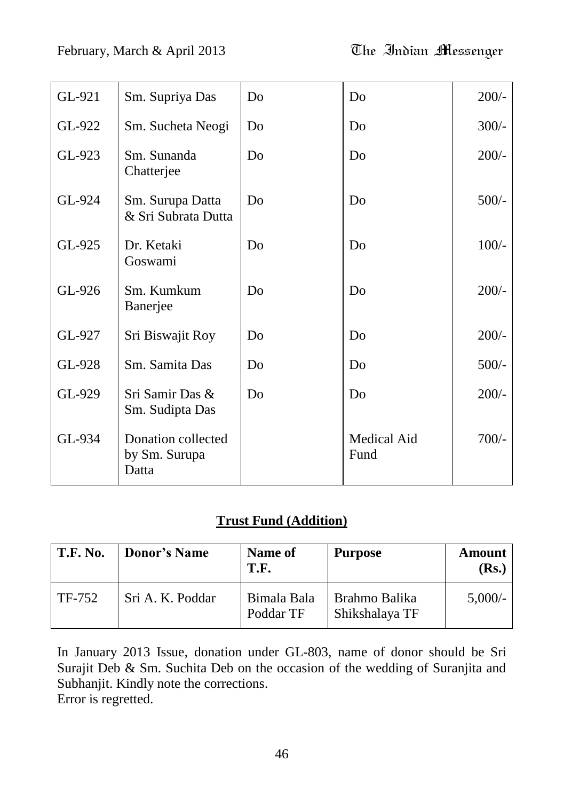# February, March & April 2013 The Indian Messenger

| GL-921 | Sm. Supriya Das                              | Do | Do                         | $200/-$ |
|--------|----------------------------------------------|----|----------------------------|---------|
| GL-922 | Sm. Sucheta Neogi                            | Do | Do                         | $300/-$ |
| GL-923 | Sm. Sunanda<br>Chatterjee                    | Do | D <sub>0</sub>             | $200/-$ |
| GL-924 | Sm. Surupa Datta<br>& Sri Subrata Dutta      | Do | Do                         | $500/-$ |
| GL-925 | Dr. Ketaki<br>Goswami                        | Do | Do                         | $100/-$ |
| GL-926 | Sm. Kumkum<br>Banerjee                       | Do | Do                         | $200/-$ |
| GL-927 | Sri Biswajit Roy                             | Do | Do                         | $200/-$ |
| GL-928 | Sm. Samita Das                               | Do | Do                         | $500/-$ |
| GL-929 | Sri Samir Das &<br>Sm. Sudipta Das           | Do | Do                         | $200/-$ |
| GL-934 | Donation collected<br>by Sm. Surupa<br>Datta |    | <b>Medical Aid</b><br>Fund | $700/-$ |

## **Trust Fund (Addition)**

| <b>T.F. No.</b> | <b>Donor's Name</b> | <b>Name of</b><br>T.F.   | <b>Purpose</b>                  | Amount<br>(Rs.) |
|-----------------|---------------------|--------------------------|---------------------------------|-----------------|
| TF-752          | Sri A. K. Poddar    | Bimala Bala<br>Poddar TF | Brahmo Balika<br>Shikshalaya TF | $5,000/-$       |

In January 2013 Issue, donation under GL-803, name of donor should be Sri Surajit Deb & Sm. Suchita Deb on the occasion of the wedding of Suranjita and Subhanjit. Kindly note the corrections. Error is regretted.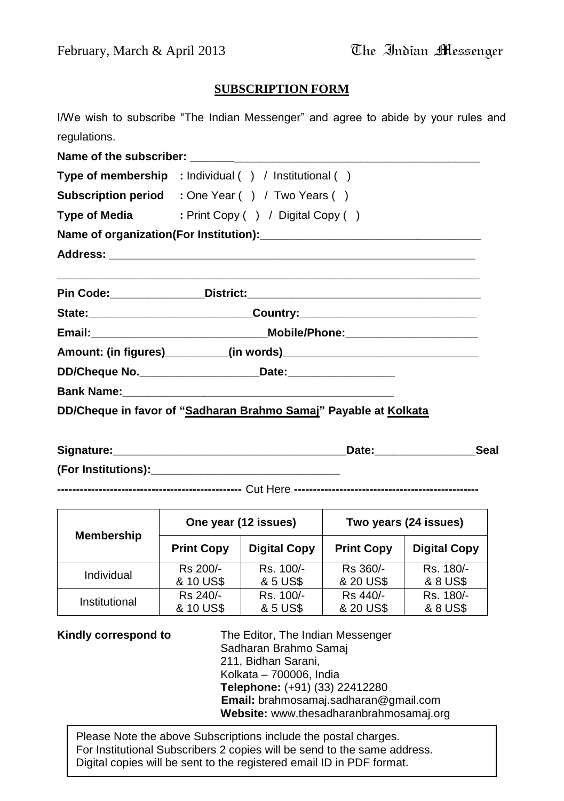#### **SUBSCRIPTION FORM**

I/We wish to subscribe "The Indian Messenger" and agree to abide by your rules and regulations.

| Type of membership : Individual () / Institutional ()                            |  |  |  |
|----------------------------------------------------------------------------------|--|--|--|
| <b>Subscription period</b> : One Year () / Two Years ()                          |  |  |  |
| Type of Media : Print Copy () / Digital Copy ()                                  |  |  |  |
|                                                                                  |  |  |  |
|                                                                                  |  |  |  |
|                                                                                  |  |  |  |
| State:_________________________________Country:_________________________________ |  |  |  |
|                                                                                  |  |  |  |
|                                                                                  |  |  |  |
|                                                                                  |  |  |  |
|                                                                                  |  |  |  |
| DD/Cheque in favor of "Sadharan Brahmo Samaj" Payable at Kolkata                 |  |  |  |

| Signature:          | Date | Seal |
|---------------------|------|------|
| (For Institutions): |      |      |

**-------------------------------------------------** Cut Here **-------------------------------------------------**

| <b>Membership</b> | One year (12 issues) |                     | Two years (24 issues) |                     |
|-------------------|----------------------|---------------------|-----------------------|---------------------|
|                   | <b>Print Copy</b>    | <b>Digital Copy</b> | <b>Print Copy</b>     | <b>Digital Copy</b> |
| Individual        | Rs 200/-             | Rs. 100/-           | Rs 360/-              | Rs. 180/-           |
|                   | & 10 US\$            | & 5 US\$            | & 20 US\$             | & 8 US\$            |
| Institutional     | Rs 240/-             | Rs. 100/-           | Rs 440/-              | Rs. 180/-           |
|                   | & 10 US\$            | & 5 US\$            | & 20 US\$             | & 8 US\$            |

**Kindly correspond to** The Editor, The Indian Messenger Sadharan Brahmo Samaj 211, Bidhan Sarani, Kolkata – 700006, India **Telephone:** (+91) (33) 22412280 **Email:** brahmosamaj.sadharan@gmail.com **Website:** www.thesadharanbrahmosamaj.org

For Institutional Subscribers 2 copies will be send to the same address.<br>Dirital conics will be sent to the serieteral small ID in DDE fermet. Please Note the above Subscriptions include the postal charges. Digital copies will be sent to the registered email ID in PDF format.